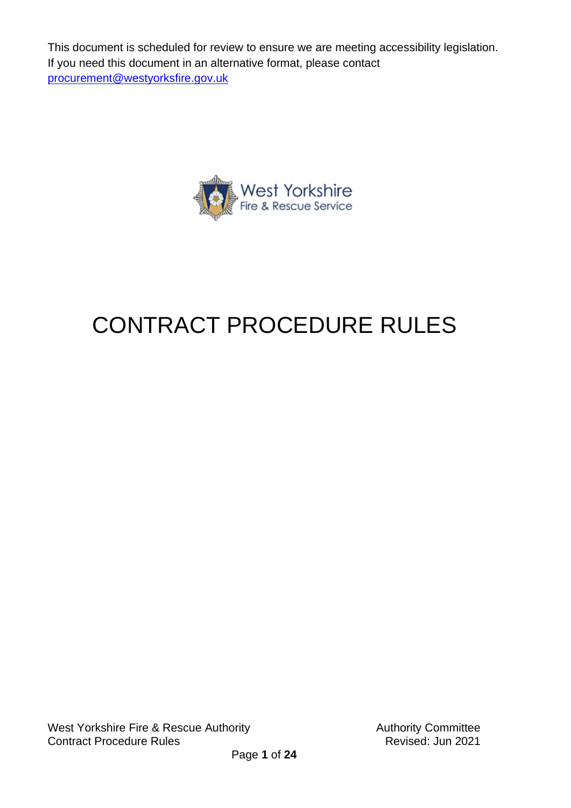This document is scheduled for review to ensure we are meeting accessibility legislation. If you need this document in an alternative format, please contact [procurement@westyorksfire.gov.uk](mailto:procurement@westyorksfire.gov.uk)



# CONTRACT PROCEDURE RULES

West Yorkshire Fire & Rescue Authority **Authority** Authority Committee **Contract Procedure Rules Contract Procedure Rules** 

Page **1** of **24**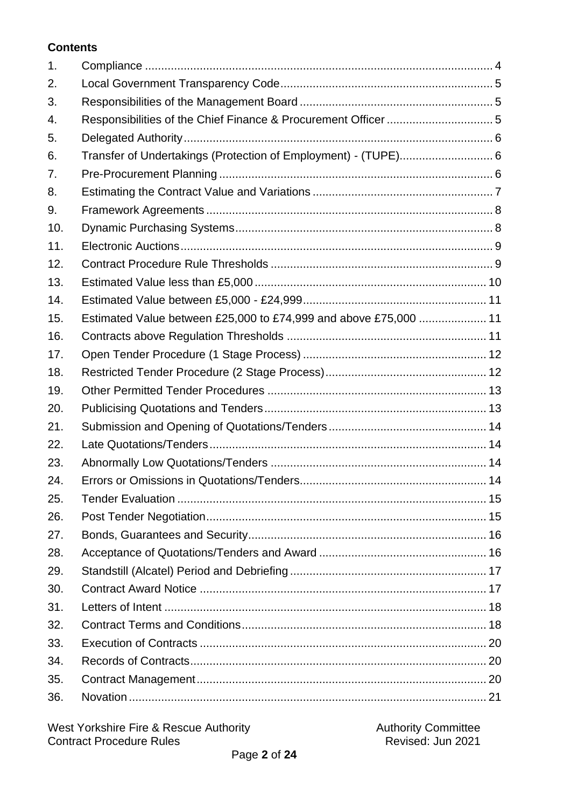#### **Contents**

| 1.  |                                                                  |  |
|-----|------------------------------------------------------------------|--|
| 2.  |                                                                  |  |
| 3.  |                                                                  |  |
| 4.  |                                                                  |  |
| 5.  |                                                                  |  |
| 6.  | Transfer of Undertakings (Protection of Employment) - (TUPE) 6   |  |
| 7.  |                                                                  |  |
| 8.  |                                                                  |  |
| 9.  |                                                                  |  |
| 10. |                                                                  |  |
| 11. |                                                                  |  |
| 12. |                                                                  |  |
| 13. |                                                                  |  |
| 14. |                                                                  |  |
| 15. | Estimated Value between £25,000 to £74,999 and above £75,000  11 |  |
| 16. |                                                                  |  |
| 17. |                                                                  |  |
| 18. |                                                                  |  |
| 19. |                                                                  |  |
| 20. |                                                                  |  |
| 21. |                                                                  |  |
| 22. |                                                                  |  |
| 23. |                                                                  |  |
| 24. |                                                                  |  |
| 25. |                                                                  |  |
| 26. |                                                                  |  |
| 27. |                                                                  |  |
| 28. |                                                                  |  |
| 29. |                                                                  |  |
| 30. |                                                                  |  |
| 31. |                                                                  |  |
| 32. |                                                                  |  |
| 33. |                                                                  |  |
| 34. |                                                                  |  |
| 35. |                                                                  |  |
| 36. |                                                                  |  |
|     |                                                                  |  |

| West Yorkshire Fire & Rescue Authority | <b>Authority Committee</b> |  |
|----------------------------------------|----------------------------|--|
| <b>Contract Procedure Rules</b>        | Revised: Jun 2021          |  |
| .                                      |                            |  |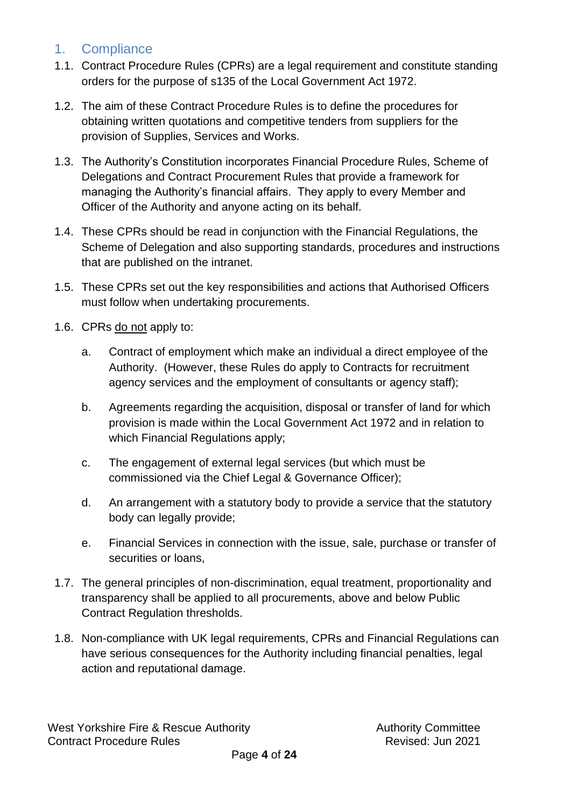## <span id="page-3-0"></span>1. Compliance

- 1.1. Contract Procedure Rules (CPRs) are a legal requirement and constitute standing orders for the purpose of s135 of the Local Government Act 1972.
- 1.2. The aim of these Contract Procedure Rules is to define the procedures for obtaining written quotations and competitive tenders from suppliers for the provision of Supplies, Services and Works.
- 1.3. The Authority's Constitution incorporates Financial Procedure Rules, Scheme of Delegations and Contract Procurement Rules that provide a framework for managing the Authority's financial affairs. They apply to every Member and Officer of the Authority and anyone acting on its behalf.
- 1.4. These CPRs should be read in conjunction with the Financial Regulations, the Scheme of Delegation and also supporting standards, procedures and instructions that are published on the intranet.
- 1.5. These CPRs set out the key responsibilities and actions that Authorised Officers must follow when undertaking procurements.
- 1.6. CPRs do not apply to:
	- a. Contract of employment which make an individual a direct employee of the Authority. (However, these Rules do apply to Contracts for recruitment agency services and the employment of consultants or agency staff);
	- b. Agreements regarding the acquisition, disposal or transfer of land for which provision is made within the Local Government Act 1972 and in relation to which Financial Regulations apply;
	- c. The engagement of external legal services (but which must be commissioned via the Chief Legal & Governance Officer);
	- d. An arrangement with a statutory body to provide a service that the statutory body can legally provide;
	- e. Financial Services in connection with the issue, sale, purchase or transfer of securities or loans,
- 1.7. The general principles of non-discrimination, equal treatment, proportionality and transparency shall be applied to all procurements, above and below Public Contract Regulation thresholds.
- 1.8. Non-compliance with UK legal requirements, CPRs and Financial Regulations can have serious consequences for the Authority including financial penalties, legal action and reputational damage.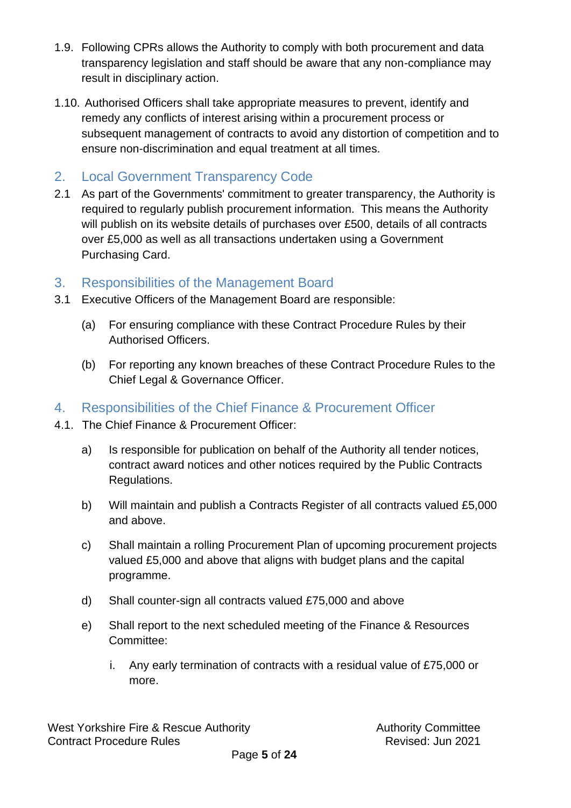- 1.9. Following CPRs allows the Authority to comply with both procurement and data transparency legislation and staff should be aware that any non-compliance may result in disciplinary action.
- 1.10. Authorised Officers shall take appropriate measures to prevent, identify and remedy any conflicts of interest arising within a procurement process or subsequent management of contracts to avoid any distortion of competition and to ensure non-discrimination and equal treatment at all times.
- <span id="page-4-0"></span>2. Local Government Transparency Code
- 2.1 As part of the Governments' commitment to greater transparency, the Authority is required to regularly publish procurement information. This means the Authority will publish on its website details of purchases over £500, details of all contracts over £5,000 as well as all transactions undertaken using a Government Purchasing Card.
- <span id="page-4-1"></span>3. Responsibilities of the Management Board
- 3.1 Executive Officers of the Management Board are responsible:
	- (a) For ensuring compliance with these Contract Procedure Rules by their Authorised Officers.
	- (b) For reporting any known breaches of these Contract Procedure Rules to the Chief Legal & Governance Officer.
- <span id="page-4-2"></span>4. Responsibilities of the Chief Finance & Procurement Officer
- 4.1. The Chief Finance & Procurement Officer:
	- a) Is responsible for publication on behalf of the Authority all tender notices, contract award notices and other notices required by the Public Contracts Regulations.
	- b) Will maintain and publish a Contracts Register of all contracts valued £5,000 and above.
	- c) Shall maintain a rolling Procurement Plan of upcoming procurement projects valued £5,000 and above that aligns with budget plans and the capital programme.
	- d) Shall counter-sign all contracts valued £75,000 and above
	- e) Shall report to the next scheduled meeting of the Finance & Resources Committee:
		- i. Any early termination of contracts with a residual value of £75,000 or more.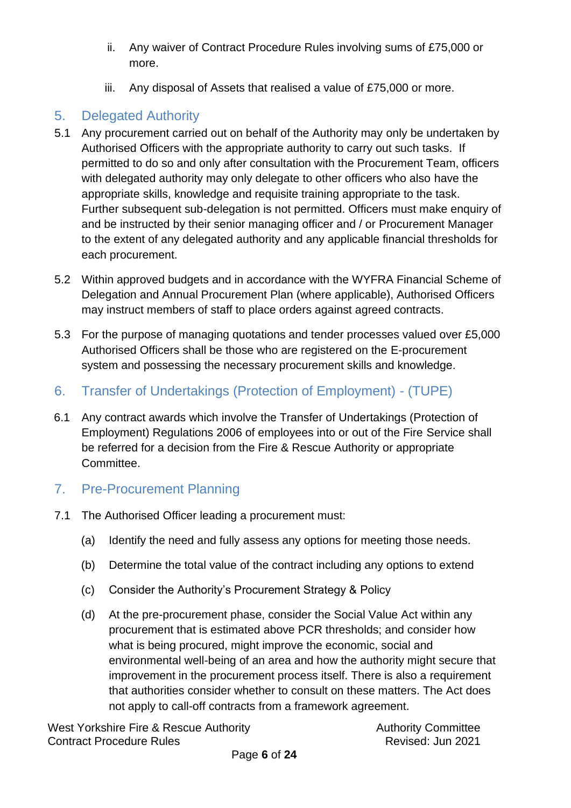- ii. Any waiver of Contract Procedure Rules involving sums of £75,000 or more.
- iii. Any disposal of Assets that realised a value of £75,000 or more.

# <span id="page-5-0"></span>5. Delegated Authority

- 5.1 Any procurement carried out on behalf of the Authority may only be undertaken by Authorised Officers with the appropriate authority to carry out such tasks. If permitted to do so and only after consultation with the Procurement Team, officers with delegated authority may only delegate to other officers who also have the appropriate skills, knowledge and requisite training appropriate to the task. Further subsequent sub-delegation is not permitted. Officers must make enquiry of and be instructed by their senior managing officer and / or Procurement Manager to the extent of any delegated authority and any applicable financial thresholds for each procurement.
- 5.2 Within approved budgets and in accordance with the WYFRA Financial Scheme of Delegation and Annual Procurement Plan (where applicable), Authorised Officers may instruct members of staff to place orders against agreed contracts.
- 5.3 For the purpose of managing quotations and tender processes valued over £5,000 Authorised Officers shall be those who are registered on the E-procurement system and possessing the necessary procurement skills and knowledge.
- <span id="page-5-1"></span>6. Transfer of Undertakings (Protection of Employment) - (TUPE)
- 6.1 Any contract awards which involve the Transfer of Undertakings (Protection of Employment) Regulations 2006 of employees into or out of the Fire Service shall be referred for a decision from the Fire & Rescue Authority or appropriate Committee.
- <span id="page-5-2"></span>7. Pre-Procurement Planning
- 7.1 The Authorised Officer leading a procurement must:
	- (a) Identify the need and fully assess any options for meeting those needs.
	- (b) Determine the total value of the contract including any options to extend
	- (c) Consider the Authority's Procurement Strategy & Policy
	- (d) At the pre-procurement phase, consider the Social Value Act within any procurement that is estimated above PCR thresholds; and consider how what is being procured, might improve the economic, social and environmental well-being of an area and how the authority might secure that improvement in the procurement process itself. There is also a requirement that authorities consider whether to consult on these matters. The Act does not apply to call-off contracts from a framework agreement.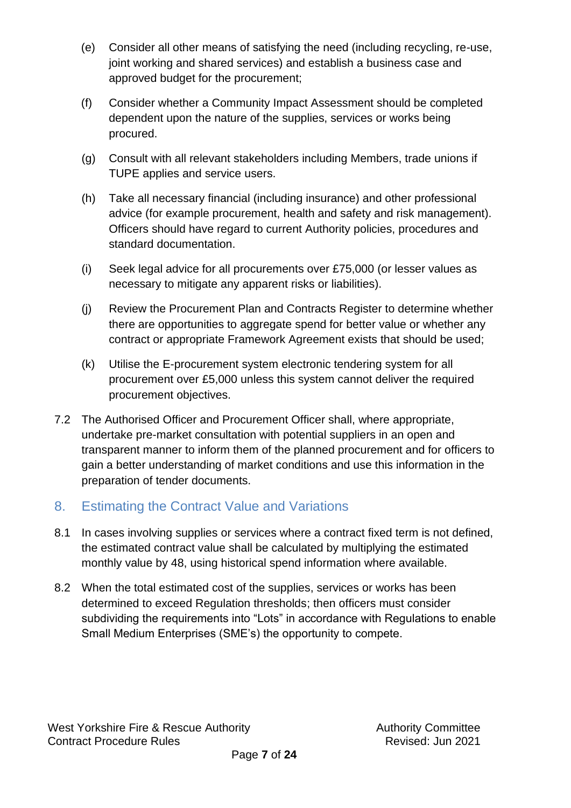- (e) Consider all other means of satisfying the need (including recycling, re-use, joint working and shared services) and establish a business case and approved budget for the procurement;
- (f) Consider whether a Community Impact Assessment should be completed dependent upon the nature of the supplies, services or works being procured.
- (g) Consult with all relevant stakeholders including Members, trade unions if TUPE applies and service users.
- (h) Take all necessary financial (including insurance) and other professional advice (for example procurement, health and safety and risk management). Officers should have regard to current Authority policies, procedures and standard documentation.
- (i) Seek legal advice for all procurements over £75,000 (or lesser values as necessary to mitigate any apparent risks or liabilities).
- (j) Review the Procurement Plan and Contracts Register to determine whether there are opportunities to aggregate spend for better value or whether any contract or appropriate Framework Agreement exists that should be used;
- (k) Utilise the E-procurement system electronic tendering system for all procurement over £5,000 unless this system cannot deliver the required procurement objectives.
- 7.2 The Authorised Officer and Procurement Officer shall, where appropriate, undertake pre-market consultation with potential suppliers in an open and transparent manner to inform them of the planned procurement and for officers to gain a better understanding of market conditions and use this information in the preparation of tender documents.

# <span id="page-6-0"></span>8. Estimating the Contract Value and Variations

- 8.1 In cases involving supplies or services where a contract fixed term is not defined, the estimated contract value shall be calculated by multiplying the estimated monthly value by 48, using historical spend information where available.
- 8.2 When the total estimated cost of the supplies, services or works has been determined to exceed Regulation thresholds; then officers must consider subdividing the requirements into "Lots" in accordance with Regulations to enable Small Medium Enterprises (SME's) the opportunity to compete.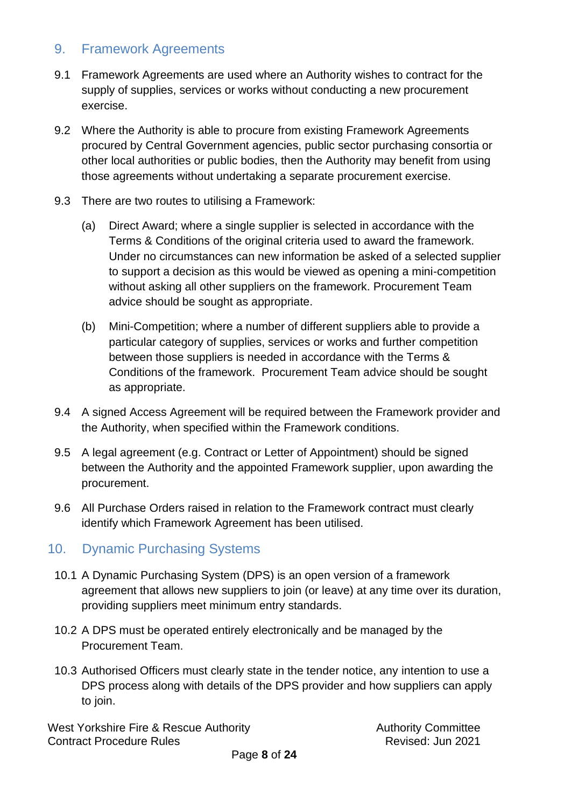## <span id="page-7-0"></span>9. Framework Agreements

- 9.1 Framework Agreements are used where an Authority wishes to contract for the supply of supplies, services or works without conducting a new procurement exercise.
- 9.2 Where the Authority is able to procure from existing Framework Agreements procured by Central Government agencies, public sector purchasing consortia or other local authorities or public bodies, then the Authority may benefit from using those agreements without undertaking a separate procurement exercise.
- 9.3 There are two routes to utilising a Framework:
	- (a) Direct Award; where a single supplier is selected in accordance with the Terms & Conditions of the original criteria used to award the framework. Under no circumstances can new information be asked of a selected supplier to support a decision as this would be viewed as opening a mini-competition without asking all other suppliers on the framework. Procurement Team advice should be sought as appropriate.
	- (b) Mini-Competition; where a number of different suppliers able to provide a particular category of supplies, services or works and further competition between those suppliers is needed in accordance with the Terms & Conditions of the framework. Procurement Team advice should be sought as appropriate.
- 9.4 A signed Access Agreement will be required between the Framework provider and the Authority, when specified within the Framework conditions.
- 9.5 A legal agreement (e.g. Contract or Letter of Appointment) should be signed between the Authority and the appointed Framework supplier, upon awarding the procurement.
- 9.6 All Purchase Orders raised in relation to the Framework contract must clearly identify which Framework Agreement has been utilised.

# <span id="page-7-1"></span>10. Dynamic Purchasing Systems

- 10.1 A Dynamic Purchasing System (DPS) is an open version of a framework agreement that allows new suppliers to join (or leave) at any time over its duration, providing suppliers meet minimum entry standards.
- 10.2 A DPS must be operated entirely electronically and be managed by the Procurement Team.
- 10.3 Authorised Officers must clearly state in the tender notice, any intention to use a DPS process along with details of the DPS provider and how suppliers can apply to join.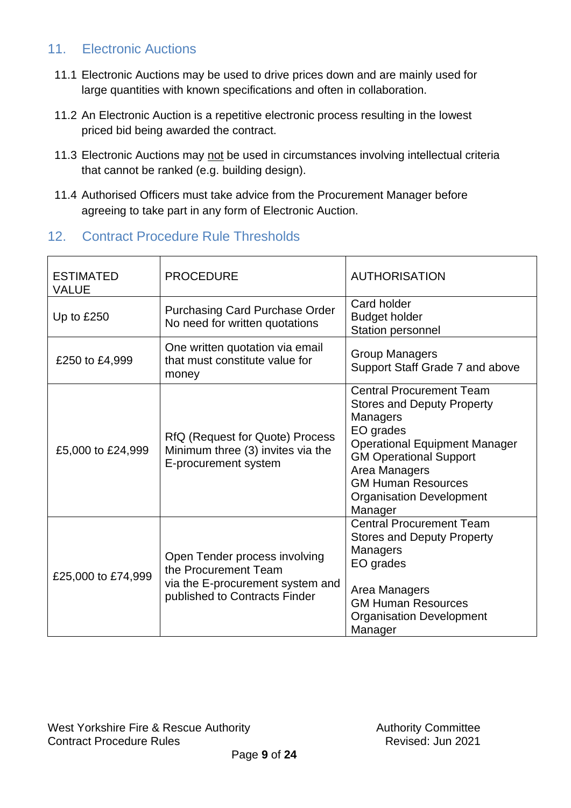# <span id="page-8-0"></span>11. **Electronic Auctions**

- 11.1 Electronic Auctions may be used to drive prices down and are mainly used for large quantities with known specifications and often in collaboration.
- 11.2 An Electronic Auction is a repetitive electronic process resulting in the lowest priced bid being awarded the contract.
- 11.3 Electronic Auctions may not be used in circumstances involving intellectual criteria that cannot be ranked (e.g. building design).
- 11.4 Authorised Officers must take advice from the Procurement Manager before agreeing to take part in any form of Electronic Auction.

#### <span id="page-8-1"></span>12. Contract Procedure Rule Thresholds

| <b>ESTIMATED</b><br><b>VALUE</b> | <b>PROCEDURE</b>                                                                                                           | <b>AUTHORISATION</b>                                                                                                                                                                                                                                                      |
|----------------------------------|----------------------------------------------------------------------------------------------------------------------------|---------------------------------------------------------------------------------------------------------------------------------------------------------------------------------------------------------------------------------------------------------------------------|
| Up to £250                       | <b>Purchasing Card Purchase Order</b><br>No need for written quotations                                                    | Card holder<br><b>Budget holder</b><br>Station personnel                                                                                                                                                                                                                  |
| £250 to £4,999                   | One written quotation via email<br>that must constitute value for<br>money                                                 | <b>Group Managers</b><br>Support Staff Grade 7 and above                                                                                                                                                                                                                  |
| £5,000 to £24,999                | RfQ (Request for Quote) Process<br>Minimum three (3) invites via the<br>E-procurement system                               | <b>Central Procurement Team</b><br><b>Stores and Deputy Property</b><br><b>Managers</b><br>EO grades<br><b>Operational Equipment Manager</b><br><b>GM Operational Support</b><br>Area Managers<br><b>GM Human Resources</b><br><b>Organisation Development</b><br>Manager |
| £25,000 to £74,999               | Open Tender process involving<br>the Procurement Team<br>via the E-procurement system and<br>published to Contracts Finder | <b>Central Procurement Team</b><br><b>Stores and Deputy Property</b><br>Managers<br>EO grades<br>Area Managers<br><b>GM Human Resources</b><br><b>Organisation Development</b><br>Manager                                                                                 |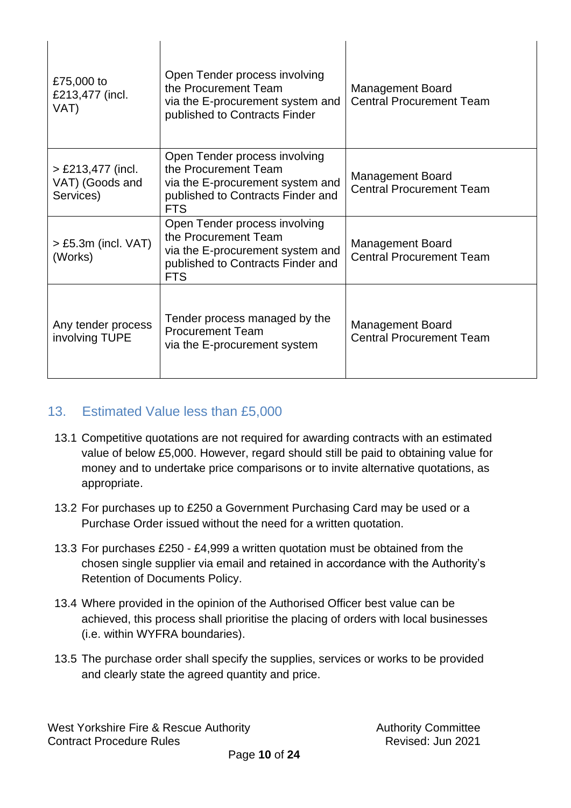| £75,000 to<br>£213,477 (incl.<br>VAT)               | Open Tender process involving<br>the Procurement Team<br>via the E-procurement system and<br>published to Contracts Finder                   | <b>Management Board</b><br><b>Central Procurement Team</b> |
|-----------------------------------------------------|----------------------------------------------------------------------------------------------------------------------------------------------|------------------------------------------------------------|
| $>$ £213,477 (incl.<br>VAT) (Goods and<br>Services) | Open Tender process involving<br>the Procurement Team<br>via the E-procurement system and<br>published to Contracts Finder and<br><b>FTS</b> | <b>Management Board</b><br><b>Central Procurement Team</b> |
| $>$ £5.3m (incl. VAT)<br>(Works)                    | Open Tender process involving<br>the Procurement Team<br>via the E-procurement system and<br>published to Contracts Finder and<br><b>FTS</b> | Management Board<br><b>Central Procurement Team</b>        |
| Any tender process<br>involving TUPE                | Tender process managed by the<br><b>Procurement Team</b><br>via the E-procurement system                                                     | <b>Management Board</b><br><b>Central Procurement Team</b> |

# <span id="page-9-0"></span>13. Estimated Value less than £5,000

- 13.1 Competitive quotations are not required for awarding contracts with an estimated value of below £5,000. However, regard should still be paid to obtaining value for money and to undertake price comparisons or to invite alternative quotations, as appropriate.
- 13.2 For purchases up to £250 a Government Purchasing Card may be used or a Purchase Order issued without the need for a written quotation.
- 13.3 For purchases £250 £4,999 a written quotation must be obtained from the chosen single supplier via email and retained in accordance with the Authority's Retention of Documents Policy.
- 13.4 Where provided in the opinion of the Authorised Officer best value can be achieved, this process shall prioritise the placing of orders with local businesses (i.e. within WYFRA boundaries).
- 13.5 The purchase order shall specify the supplies, services or works to be provided and clearly state the agreed quantity and price.

West Yorkshire Fire & Rescue Authority **Authority** Authority Committee **Contract Procedure Rules Contract Procedure Rules** 

 $\mathbf{I}$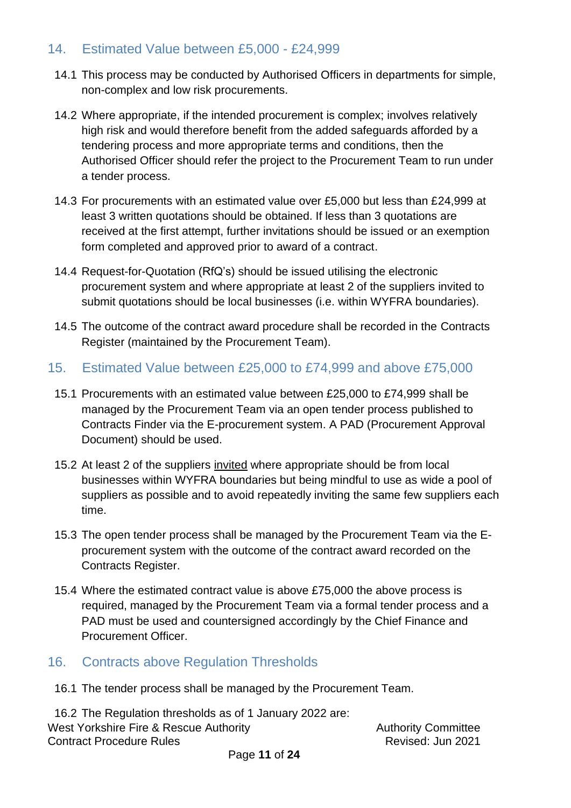# <span id="page-10-0"></span>14. Estimated Value between £5,000 - £24,999

- 14.1 This process may be conducted by Authorised Officers in departments for simple, non-complex and low risk procurements.
- 14.2 Where appropriate, if the intended procurement is complex; involves relatively high risk and would therefore benefit from the added safeguards afforded by a tendering process and more appropriate terms and conditions, then the Authorised Officer should refer the project to the Procurement Team to run under a tender process.
- 14.3 For procurements with an estimated value over £5,000 but less than £24,999 at least 3 written quotations should be obtained. If less than 3 quotations are received at the first attempt, further invitations should be issued or an exemption form completed and approved prior to award of a contract.
- 14.4 Request-for-Quotation (RfQ's) should be issued utilising the electronic procurement system and where appropriate at least 2 of the suppliers invited to submit quotations should be local businesses (i.e. within WYFRA boundaries).
- 14.5 The outcome of the contract award procedure shall be recorded in the Contracts Register (maintained by the Procurement Team).
- <span id="page-10-1"></span>15. Estimated Value between £25,000 to £74,999 and above £75,000
	- 15.1 Procurements with an estimated value between £25,000 to £74,999 shall be managed by the Procurement Team via an open tender process published to Contracts Finder via the E-procurement system. A PAD (Procurement Approval Document) should be used.
	- 15.2 At least 2 of the suppliers invited where appropriate should be from local businesses within WYFRA boundaries but being mindful to use as wide a pool of suppliers as possible and to avoid repeatedly inviting the same few suppliers each time.
	- 15.3 The open tender process shall be managed by the Procurement Team via the Eprocurement system with the outcome of the contract award recorded on the Contracts Register.
	- 15.4 Where the estimated contract value is above £75,000 the above process is required, managed by the Procurement Team via a formal tender process and a PAD must be used and countersigned accordingly by the Chief Finance and Procurement Officer.

#### <span id="page-10-2"></span>16. Contracts above Regulation Thresholds

16.1 The tender process shall be managed by the Procurement Team.

West Yorkshire Fire & Rescue Authority **Authority** Authority Committee Contract Procedure Rules Revised: Jun 2021 16.2 The Regulation thresholds as of 1 January 2022 are: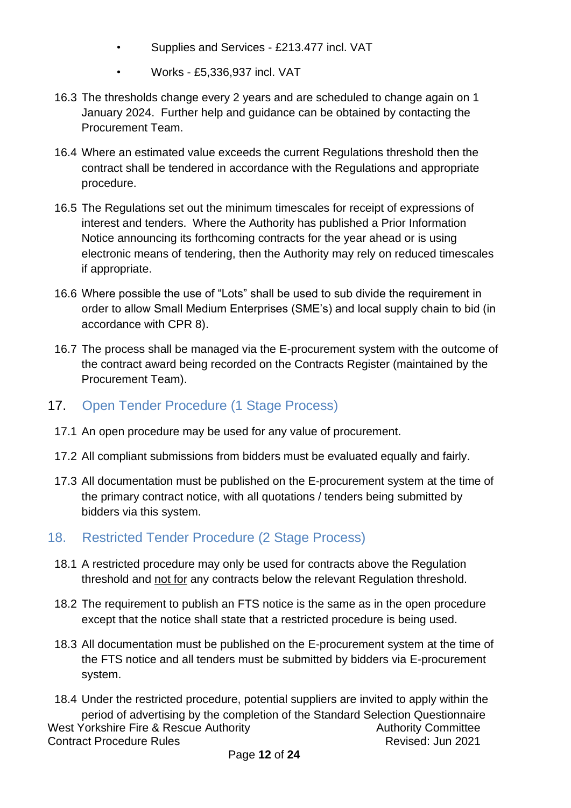- Supplies and Services £213.477 incl. VAT
- Works £5,336,937 incl. VAT
- 16.3 The thresholds change every 2 years and are scheduled to change again on 1 January 2024. Further help and guidance can be obtained by contacting the Procurement Team.
- 16.4 Where an estimated value exceeds the current Regulations threshold then the contract shall be tendered in accordance with the Regulations and appropriate procedure.
- 16.5 The Regulations set out the minimum timescales for receipt of expressions of interest and tenders. Where the Authority has published a Prior Information Notice announcing its forthcoming contracts for the year ahead or is using electronic means of tendering, then the Authority may rely on reduced timescales if appropriate.
- 16.6 Where possible the use of "Lots" shall be used to sub divide the requirement in order to allow Small Medium Enterprises (SME's) and local supply chain to bid (in accordance with CPR 8).
- 16.7 The process shall be managed via the E-procurement system with the outcome of the contract award being recorded on the Contracts Register (maintained by the Procurement Team).
- <span id="page-11-0"></span>17. Open Tender Procedure (1 Stage Process)
	- 17.1 An open procedure may be used for any value of procurement.
	- 17.2 All compliant submissions from bidders must be evaluated equally and fairly.
	- 17.3 All documentation must be published on the E-procurement system at the time of the primary contract notice, with all quotations / tenders being submitted by bidders via this system.
- <span id="page-11-1"></span>18. Restricted Tender Procedure (2 Stage Process)
	- 18.1 A restricted procedure may only be used for contracts above the Regulation threshold and not for any contracts below the relevant Regulation threshold.
	- 18.2 The requirement to publish an FTS notice is the same as in the open procedure except that the notice shall state that a restricted procedure is being used.
	- 18.3 All documentation must be published on the E-procurement system at the time of the FTS notice and all tenders must be submitted by bidders via E-procurement system.
- West Yorkshire Fire & Rescue Authority **Authority** Authority Committee Contract Procedure Rules Revised: Jun 2021 18.4 Under the restricted procedure, potential suppliers are invited to apply within the period of advertising by the completion of the Standard Selection Questionnaire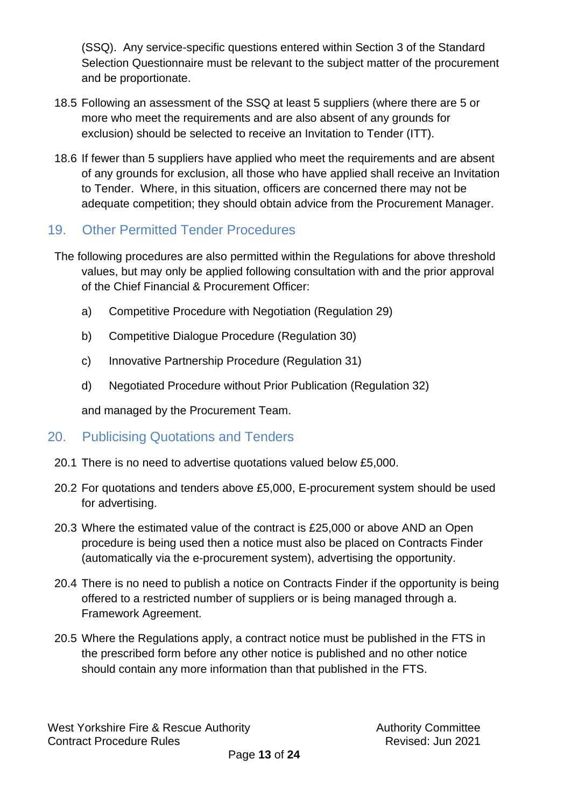(SSQ). Any service-specific questions entered within Section 3 of the Standard Selection Questionnaire must be relevant to the subject matter of the procurement and be proportionate.

- 18.5 Following an assessment of the SSQ at least 5 suppliers (where there are 5 or more who meet the requirements and are also absent of any grounds for exclusion) should be selected to receive an Invitation to Tender (ITT).
- 18.6 If fewer than 5 suppliers have applied who meet the requirements and are absent of any grounds for exclusion, all those who have applied shall receive an Invitation to Tender. Where, in this situation, officers are concerned there may not be adequate competition; they should obtain advice from the Procurement Manager.

# <span id="page-12-0"></span>19. Other Permitted Tender Procedures

- The following procedures are also permitted within the Regulations for above threshold values, but may only be applied following consultation with and the prior approval of the Chief Financial & Procurement Officer:
	- a) Competitive Procedure with Negotiation (Regulation 29)
	- b) Competitive Dialogue Procedure (Regulation 30)
	- c) Innovative Partnership Procedure (Regulation 31)
	- d) Negotiated Procedure without Prior Publication (Regulation 32)

and managed by the Procurement Team.

#### <span id="page-12-1"></span>20. Publicising Quotations and Tenders

- 20.1 There is no need to advertise quotations valued below £5,000.
- 20.2 For quotations and tenders above £5,000, E-procurement system should be used for advertising.
- 20.3 Where the estimated value of the contract is £25,000 or above AND an Open procedure is being used then a notice must also be placed on Contracts Finder (automatically via the e-procurement system), advertising the opportunity.
- 20.4 There is no need to publish a notice on Contracts Finder if the opportunity is being offered to a restricted number of suppliers or is being managed through a. Framework Agreement.
- 20.5 Where the Regulations apply, a contract notice must be published in the FTS in the prescribed form before any other notice is published and no other notice should contain any more information than that published in the FTS.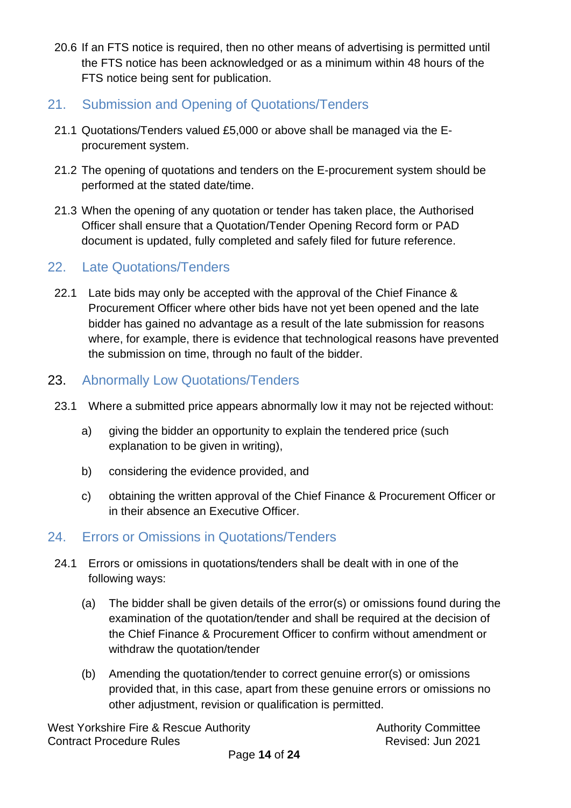- 20.6 If an FTS notice is required, then no other means of advertising is permitted until the FTS notice has been acknowledged or as a minimum within 48 hours of the FTS notice being sent for publication.
- <span id="page-13-0"></span>21. Submission and Opening of Quotations/Tenders
- 21.1 Quotations/Tenders valued £5,000 or above shall be managed via the Eprocurement system.
- 21.2 The opening of quotations and tenders on the E-procurement system should be performed at the stated date/time.
- 21.3 When the opening of any quotation or tender has taken place, the Authorised Officer shall ensure that a Quotation/Tender Opening Record form or PAD document is updated, fully completed and safely filed for future reference.

# <span id="page-13-1"></span>22. Late Quotations/Tenders

22.1 Late bids may only be accepted with the approval of the Chief Finance & Procurement Officer where other bids have not yet been opened and the late bidder has gained no advantage as a result of the late submission for reasons where, for example, there is evidence that technological reasons have prevented the submission on time, through no fault of the bidder.

# <span id="page-13-2"></span>23. Abnormally Low Quotations/Tenders

- 23.1 Where a submitted price appears abnormally low it may not be rejected without:
	- a) giving the bidder an opportunity to explain the tendered price (such explanation to be given in writing),
	- b) considering the evidence provided, and
	- c) obtaining the written approval of the Chief Finance & Procurement Officer or in their absence an Executive Officer.

# <span id="page-13-3"></span>24. Errors or Omissions in Quotations/Tenders

- 24.1 Errors or omissions in quotations/tenders shall be dealt with in one of the following ways:
	- (a) The bidder shall be given details of the error(s) or omissions found during the examination of the quotation/tender and shall be required at the decision of the Chief Finance & Procurement Officer to confirm without amendment or withdraw the quotation/tender
	- (b) Amending the quotation/tender to correct genuine error(s) or omissions provided that, in this case, apart from these genuine errors or omissions no other adjustment, revision or qualification is permitted.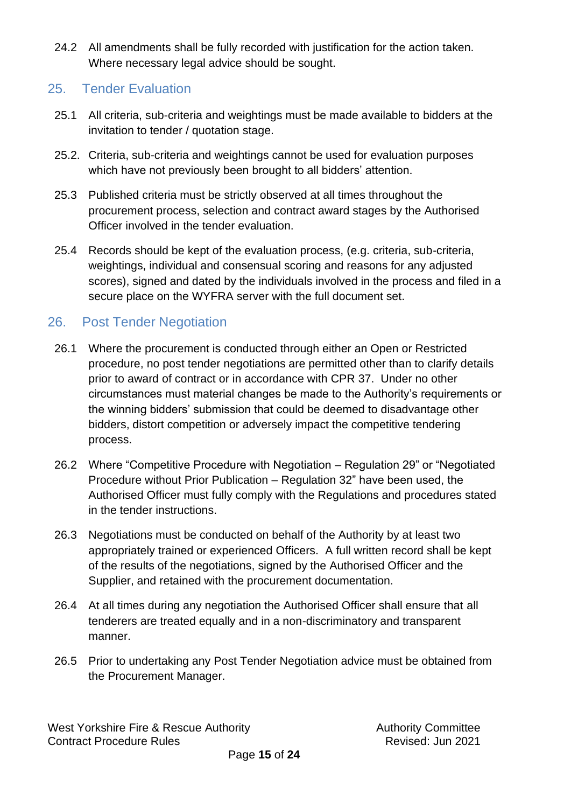24.2 All amendments shall be fully recorded with justification for the action taken. Where necessary legal advice should be sought.

## <span id="page-14-0"></span>25. Tender Evaluation

- 25.1 All criteria, sub-criteria and weightings must be made available to bidders at the invitation to tender / quotation stage.
- 25.2. Criteria, sub-criteria and weightings cannot be used for evaluation purposes which have not previously been brought to all bidders' attention.
- 25.3 Published criteria must be strictly observed at all times throughout the procurement process, selection and contract award stages by the Authorised Officer involved in the tender evaluation.
- 25.4 Records should be kept of the evaluation process, (e.g. criteria, sub-criteria, weightings, individual and consensual scoring and reasons for any adjusted scores), signed and dated by the individuals involved in the process and filed in a secure place on the WYFRA server with the full document set.

# <span id="page-14-1"></span>26. Post Tender Negotiation

- 26.1 Where the procurement is conducted through either an Open or Restricted procedure, no post tender negotiations are permitted other than to clarify details prior to award of contract or in accordance with CPR 37. Under no other circumstances must material changes be made to the Authority's requirements or the winning bidders' submission that could be deemed to disadvantage other bidders, distort competition or adversely impact the competitive tendering process.
- 26.2 Where "Competitive Procedure with Negotiation Regulation 29" or "Negotiated Procedure without Prior Publication – Regulation 32" have been used, the Authorised Officer must fully comply with the Regulations and procedures stated in the tender instructions.
- 26.3 Negotiations must be conducted on behalf of the Authority by at least two appropriately trained or experienced Officers. A full written record shall be kept of the results of the negotiations, signed by the Authorised Officer and the Supplier, and retained with the procurement documentation.
- 26.4 At all times during any negotiation the Authorised Officer shall ensure that all tenderers are treated equally and in a non-discriminatory and transparent manner.
- 26.5 Prior to undertaking any Post Tender Negotiation advice must be obtained from the Procurement Manager.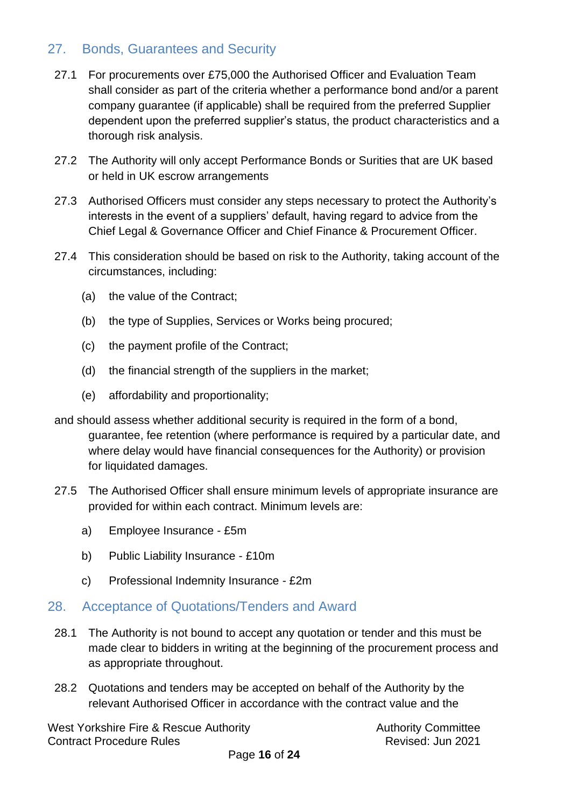# <span id="page-15-0"></span>27. Bonds, Guarantees and Security

- 27.1 For procurements over £75,000 the Authorised Officer and Evaluation Team shall consider as part of the criteria whether a performance bond and/or a parent company guarantee (if applicable) shall be required from the preferred Supplier dependent upon the preferred supplier's status, the product characteristics and a thorough risk analysis.
- 27.2 The Authority will only accept Performance Bonds or Surities that are UK based or held in UK escrow arrangements
- 27.3 Authorised Officers must consider any steps necessary to protect the Authority's interests in the event of a suppliers' default, having regard to advice from the Chief Legal & Governance Officer and Chief Finance & Procurement Officer.
- 27.4 This consideration should be based on risk to the Authority, taking account of the circumstances, including:
	- (a) the value of the Contract;
	- (b) the type of Supplies, Services or Works being procured;
	- (c) the payment profile of the Contract;
	- (d) the financial strength of the suppliers in the market;
	- (e) affordability and proportionality;
- and should assess whether additional security is required in the form of a bond, guarantee, fee retention (where performance is required by a particular date, and where delay would have financial consequences for the Authority) or provision for liquidated damages.
- 27.5 The Authorised Officer shall ensure minimum levels of appropriate insurance are provided for within each contract. Minimum levels are:
	- a) Employee Insurance £5m
	- b) Public Liability Insurance £10m
	- c) Professional Indemnity Insurance £2m

#### <span id="page-15-1"></span>28. Acceptance of Quotations/Tenders and Award

- 28.1 The Authority is not bound to accept any quotation or tender and this must be made clear to bidders in writing at the beginning of the procurement process and as appropriate throughout.
- 28.2 Quotations and tenders may be accepted on behalf of the Authority by the relevant Authorised Officer in accordance with the contract value and the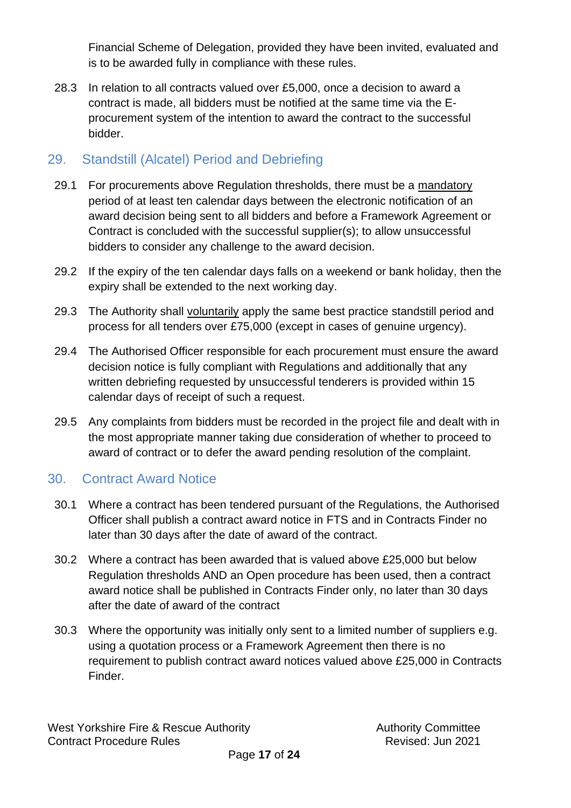Financial Scheme of Delegation, provided they have been invited, evaluated and is to be awarded fully in compliance with these rules.

28.3 In relation to all contracts valued over £5,000, once a decision to award a contract is made, all bidders must be notified at the same time via the Eprocurement system of the intention to award the contract to the successful bidder.

# <span id="page-16-0"></span>29. Standstill (Alcatel) Period and Debriefing

- 29.1 For procurements above Regulation thresholds, there must be a mandatory period of at least ten calendar days between the electronic notification of an award decision being sent to all bidders and before a Framework Agreement or Contract is concluded with the successful supplier(s); to allow unsuccessful bidders to consider any challenge to the award decision.
- 29.2 If the expiry of the ten calendar days falls on a weekend or bank holiday, then the expiry shall be extended to the next working day.
- 29.3 The Authority shall voluntarily apply the same best practice standstill period and process for all tenders over £75,000 (except in cases of genuine urgency).
- 29.4 The Authorised Officer responsible for each procurement must ensure the award decision notice is fully compliant with Regulations and additionally that any written debriefing requested by unsuccessful tenderers is provided within 15 calendar days of receipt of such a request.
- 29.5 Any complaints from bidders must be recorded in the project file and dealt with in the most appropriate manner taking due consideration of whether to proceed to award of contract or to defer the award pending resolution of the complaint.

# <span id="page-16-1"></span>30. Contract Award Notice

- 30.1 Where a contract has been tendered pursuant of the Regulations, the Authorised Officer shall publish a contract award notice in FTS and in Contracts Finder no later than 30 days after the date of award of the contract.
- 30.2 Where a contract has been awarded that is valued above £25,000 but below Regulation thresholds AND an Open procedure has been used, then a contract award notice shall be published in Contracts Finder only, no later than 30 days after the date of award of the contract
- 30.3 Where the opportunity was initially only sent to a limited number of suppliers e.g. using a quotation process or a Framework Agreement then there is no requirement to publish contract award notices valued above £25,000 in Contracts Finder.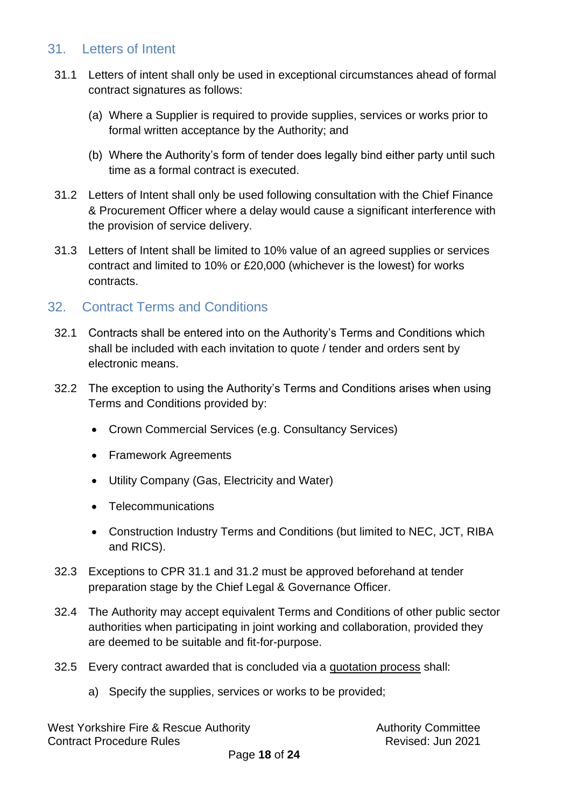### <span id="page-17-0"></span>31. Letters of Intent

- 31.1 Letters of intent shall only be used in exceptional circumstances ahead of formal contract signatures as follows:
	- (a) Where a Supplier is required to provide supplies, services or works prior to formal written acceptance by the Authority; and
	- (b) Where the Authority's form of tender does legally bind either party until such time as a formal contract is executed.
- 31.2 Letters of Intent shall only be used following consultation with the Chief Finance & Procurement Officer where a delay would cause a significant interference with the provision of service delivery.
- 31.3 Letters of Intent shall be limited to 10% value of an agreed supplies or services contract and limited to 10% or £20,000 (whichever is the lowest) for works contracts.

# <span id="page-17-1"></span>32. Contract Terms and Conditions

- 32.1 Contracts shall be entered into on the Authority's Terms and Conditions which shall be included with each invitation to quote / tender and orders sent by electronic means.
- 32.2 The exception to using the Authority's Terms and Conditions arises when using Terms and Conditions provided by:
	- Crown Commercial Services (e.g. Consultancy Services)
	- Framework Agreements
	- Utility Company (Gas, Electricity and Water)
	- Telecommunications
	- Construction Industry Terms and Conditions (but limited to NEC, JCT, RIBA and RICS).
- 32.3 Exceptions to CPR 31.1 and 31.2 must be approved beforehand at tender preparation stage by the Chief Legal & Governance Officer.
- 32.4 The Authority may accept equivalent Terms and Conditions of other public sector authorities when participating in joint working and collaboration, provided they are deemed to be suitable and fit-for-purpose.
- 32.5 Every contract awarded that is concluded via a quotation process shall:
	- a) Specify the supplies, services or works to be provided;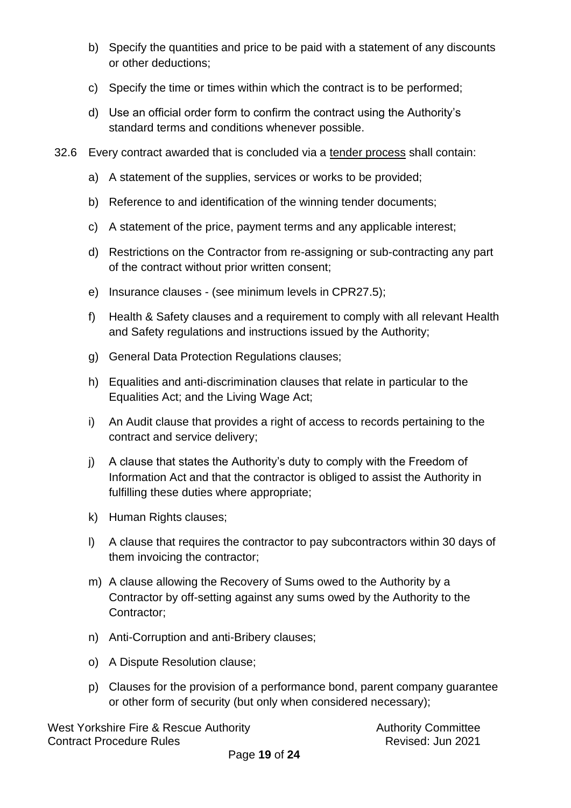- b) Specify the quantities and price to be paid with a statement of any discounts or other deductions;
- c) Specify the time or times within which the contract is to be performed;
- d) Use an official order form to confirm the contract using the Authority's standard terms and conditions whenever possible.
- 32.6 Every contract awarded that is concluded via a tender process shall contain:
	- a) A statement of the supplies, services or works to be provided;
	- b) Reference to and identification of the winning tender documents;
	- c) A statement of the price, payment terms and any applicable interest;
	- d) Restrictions on the Contractor from re-assigning or sub-contracting any part of the contract without prior written consent;
	- e) Insurance clauses (see minimum levels in CPR27.5);
	- f) Health & Safety clauses and a requirement to comply with all relevant Health and Safety regulations and instructions issued by the Authority;
	- g) General Data Protection Regulations clauses;
	- h) Equalities and anti-discrimination clauses that relate in particular to the Equalities Act; and the Living Wage Act;
	- i) An Audit clause that provides a right of access to records pertaining to the contract and service delivery;
	- j) A clause that states the Authority's duty to comply with the Freedom of Information Act and that the contractor is obliged to assist the Authority in fulfilling these duties where appropriate;
	- k) Human Rights clauses;
	- l) A clause that requires the contractor to pay subcontractors within 30 days of them invoicing the contractor;
	- m) A clause allowing the Recovery of Sums owed to the Authority by a Contractor by off-setting against any sums owed by the Authority to the Contractor;
	- n) Anti-Corruption and anti-Bribery clauses;
	- o) A Dispute Resolution clause;
	- p) Clauses for the provision of a performance bond, parent company guarantee or other form of security (but only when considered necessary);

West Yorkshire Fire & Rescue Authority **Authority** Authority Committee Contract Procedure Rules **Contract Procedure Rules** Revised: Jun 2021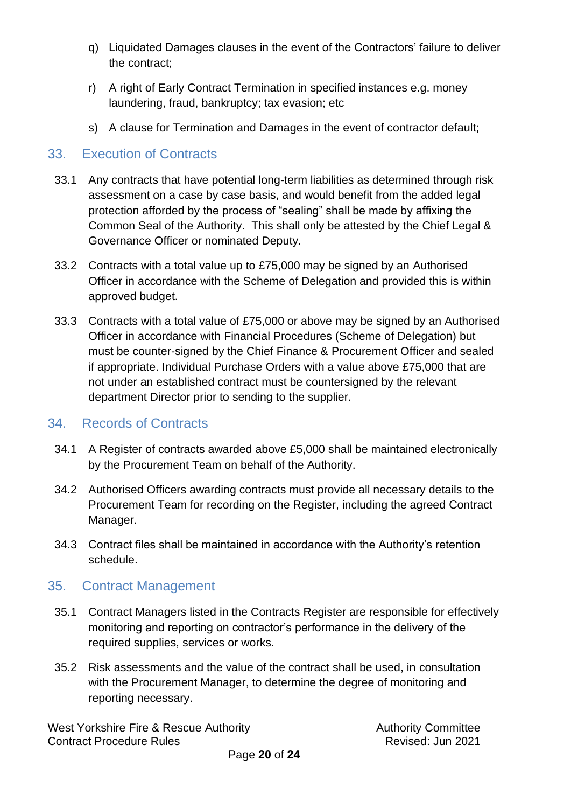- q) Liquidated Damages clauses in the event of the Contractors' failure to deliver the contract;
- r) A right of Early Contract Termination in specified instances e.g. money laundering, fraud, bankruptcy; tax evasion; etc
- s) A clause for Termination and Damages in the event of contractor default;

#### <span id="page-19-0"></span>33. Execution of Contracts

- 33.1 Any contracts that have potential long-term liabilities as determined through risk assessment on a case by case basis, and would benefit from the added legal protection afforded by the process of "sealing" shall be made by affixing the Common Seal of the Authority. This shall only be attested by the Chief Legal & Governance Officer or nominated Deputy.
- 33.2 Contracts with a total value up to £75,000 may be signed by an Authorised Officer in accordance with the Scheme of Delegation and provided this is within approved budget.
- 33.3 Contracts with a total value of £75,000 or above may be signed by an Authorised Officer in accordance with Financial Procedures (Scheme of Delegation) but must be counter-signed by the Chief Finance & Procurement Officer and sealed if appropriate. Individual Purchase Orders with a value above £75,000 that are not under an established contract must be countersigned by the relevant department Director prior to sending to the supplier.

#### <span id="page-19-1"></span>34. Records of Contracts

- 34.1 A Register of contracts awarded above £5,000 shall be maintained electronically by the Procurement Team on behalf of the Authority.
- 34.2 Authorised Officers awarding contracts must provide all necessary details to the Procurement Team for recording on the Register, including the agreed Contract Manager.
- 34.3 Contract files shall be maintained in accordance with the Authority's retention schedule.

#### <span id="page-19-2"></span>35. Contract Management

- 35.1 Contract Managers listed in the Contracts Register are responsible for effectively monitoring and reporting on contractor's performance in the delivery of the required supplies, services or works.
- 35.2 Risk assessments and the value of the contract shall be used, in consultation with the Procurement Manager, to determine the degree of monitoring and reporting necessary.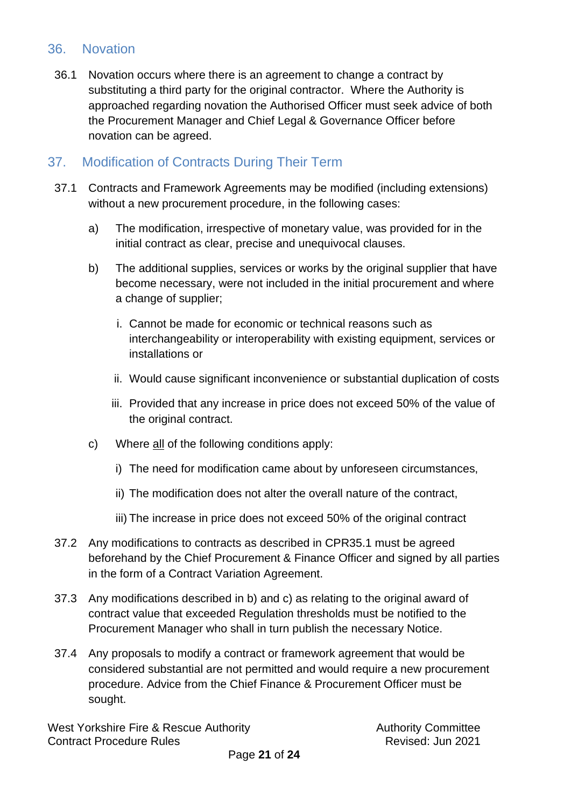#### <span id="page-20-0"></span>36. Novation

36.1 Novation occurs where there is an agreement to change a contract by substituting a third party for the original contractor. Where the Authority is approached regarding novation the Authorised Officer must seek advice of both the Procurement Manager and Chief Legal & Governance Officer before novation can be agreed.

# <span id="page-20-1"></span>37. Modification of Contracts During Their Term

- 37.1 Contracts and Framework Agreements may be modified (including extensions) without a new procurement procedure, in the following cases:
	- a) The modification, irrespective of monetary value, was provided for in the initial contract as clear, precise and unequivocal clauses.
	- b) The additional supplies, services or works by the original supplier that have become necessary, were not included in the initial procurement and where a change of supplier;
		- i. Cannot be made for economic or technical reasons such as interchangeability or interoperability with existing equipment, services or installations or
		- ii. Would cause significant inconvenience or substantial duplication of costs
		- iii. Provided that any increase in price does not exceed 50% of the value of the original contract.
	- c) Where all of the following conditions apply:
		- i) The need for modification came about by unforeseen circumstances,
		- ii) The modification does not alter the overall nature of the contract,
		- iii) The increase in price does not exceed 50% of the original contract
- 37.2 Any modifications to contracts as described in CPR35.1 must be agreed beforehand by the Chief Procurement & Finance Officer and signed by all parties in the form of a Contract Variation Agreement.
- 37.3 Any modifications described in b) and c) as relating to the original award of contract value that exceeded Regulation thresholds must be notified to the Procurement Manager who shall in turn publish the necessary Notice.
- 37.4 Any proposals to modify a contract or framework agreement that would be considered substantial are not permitted and would require a new procurement procedure. Advice from the Chief Finance & Procurement Officer must be sought.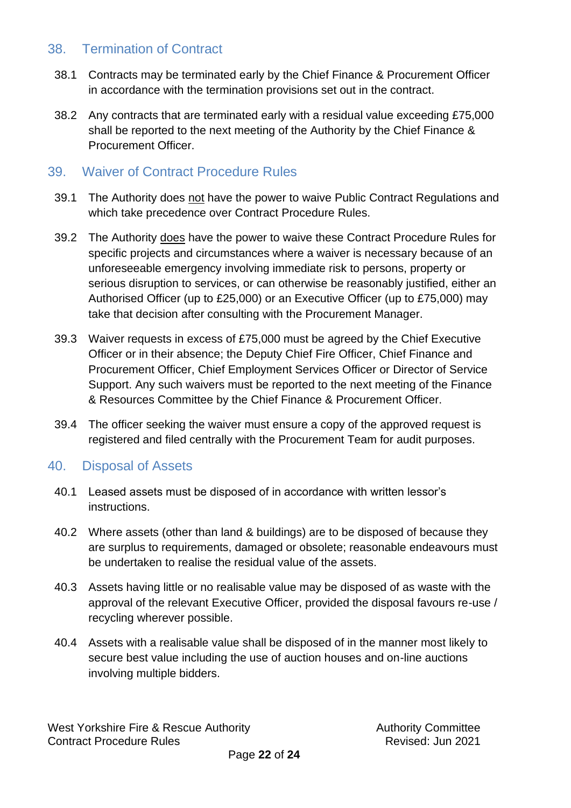### <span id="page-21-0"></span>38. Termination of Contract

- 38.1 Contracts may be terminated early by the Chief Finance & Procurement Officer in accordance with the termination provisions set out in the contract.
- 38.2 Any contracts that are terminated early with a residual value exceeding £75,000 shall be reported to the next meeting of the Authority by the Chief Finance & Procurement Officer.

#### <span id="page-21-1"></span>39. Waiver of Contract Procedure Rules

- 39.1 The Authority does not have the power to waive Public Contract Regulations and which take precedence over Contract Procedure Rules.
- 39.2 The Authority does have the power to waive these Contract Procedure Rules for specific projects and circumstances where a waiver is necessary because of an unforeseeable emergency involving immediate risk to persons, property or serious disruption to services, or can otherwise be reasonably justified, either an Authorised Officer (up to £25,000) or an Executive Officer (up to £75,000) may take that decision after consulting with the Procurement Manager.
- 39.3 Waiver requests in excess of £75,000 must be agreed by the Chief Executive Officer or in their absence; the Deputy Chief Fire Officer, Chief Finance and Procurement Officer, Chief Employment Services Officer or Director of Service Support. Any such waivers must be reported to the next meeting of the Finance & Resources Committee by the Chief Finance & Procurement Officer.
- 39.4 The officer seeking the waiver must ensure a copy of the approved request is registered and filed centrally with the Procurement Team for audit purposes.

#### <span id="page-21-2"></span>40. Disposal of Assets

- 40.1 Leased assets must be disposed of in accordance with written lessor's instructions.
- 40.2 Where assets (other than land & buildings) are to be disposed of because they are surplus to requirements, damaged or obsolete; reasonable endeavours must be undertaken to realise the residual value of the assets.
- 40.3 Assets having little or no realisable value may be disposed of as waste with the approval of the relevant Executive Officer, provided the disposal favours re-use / recycling wherever possible.
- 40.4 Assets with a realisable value shall be disposed of in the manner most likely to secure best value including the use of auction houses and on-line auctions involving multiple bidders.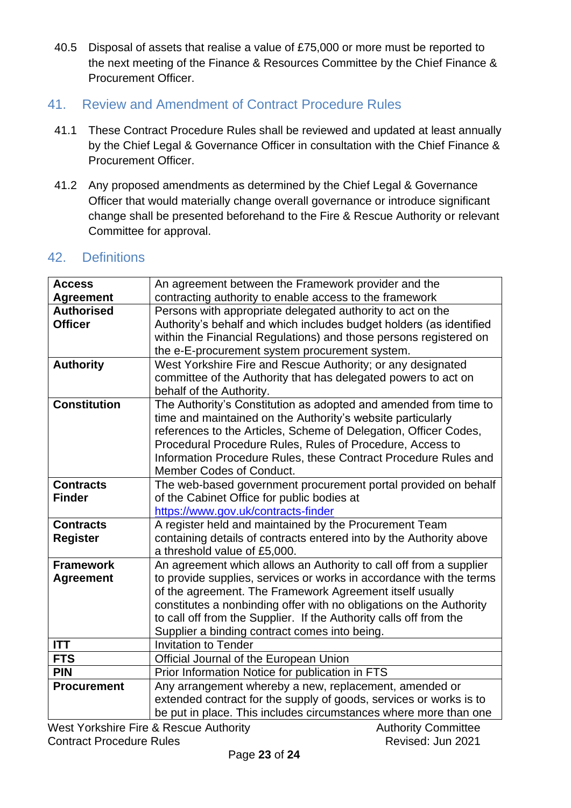- 40.5 Disposal of assets that realise a value of £75,000 or more must be reported to the next meeting of the Finance & Resources Committee by the Chief Finance & Procurement Officer.
- <span id="page-22-0"></span>41. Review and Amendment of Contract Procedure Rules
	- 41.1 These Contract Procedure Rules shall be reviewed and updated at least annually by the Chief Legal & Governance Officer in consultation with the Chief Finance & Procurement Officer.
	- 41.2 Any proposed amendments as determined by the Chief Legal & Governance Officer that would materially change overall governance or introduce significant change shall be presented beforehand to the Fire & Rescue Authority or relevant Committee for approval.

### <span id="page-22-1"></span>42. Definitions

| <b>Access</b>       | An agreement between the Framework provider and the                 |
|---------------------|---------------------------------------------------------------------|
| <b>Agreement</b>    | contracting authority to enable access to the framework             |
| <b>Authorised</b>   | Persons with appropriate delegated authority to act on the          |
| <b>Officer</b>      | Authority's behalf and which includes budget holders (as identified |
|                     | within the Financial Regulations) and those persons registered on   |
|                     | the e-E-procurement system procurement system.                      |
| <b>Authority</b>    | West Yorkshire Fire and Rescue Authority; or any designated         |
|                     | committee of the Authority that has delegated powers to act on      |
|                     | behalf of the Authority.                                            |
| <b>Constitution</b> | The Authority's Constitution as adopted and amended from time to    |
|                     | time and maintained on the Authority's website particularly         |
|                     | references to the Articles, Scheme of Delegation, Officer Codes,    |
|                     | Procedural Procedure Rules, Rules of Procedure, Access to           |
|                     | Information Procedure Rules, these Contract Procedure Rules and     |
|                     | Member Codes of Conduct.                                            |
| <b>Contracts</b>    | The web-based government procurement portal provided on behalf      |
| <b>Finder</b>       | of the Cabinet Office for public bodies at                          |
|                     | https://www.gov.uk/contracts-finder                                 |
| <b>Contracts</b>    | A register held and maintained by the Procurement Team              |
| <b>Register</b>     | containing details of contracts entered into by the Authority above |
|                     | a threshold value of £5,000.                                        |
| <b>Framework</b>    | An agreement which allows an Authority to call off from a supplier  |
| <b>Agreement</b>    | to provide supplies, services or works in accordance with the terms |
|                     | of the agreement. The Framework Agreement itself usually            |
|                     | constitutes a nonbinding offer with no obligations on the Authority |
|                     | to call off from the Supplier. If the Authority calls off from the  |
|                     | Supplier a binding contract comes into being.                       |
| <b>ITT</b>          | <b>Invitation to Tender</b>                                         |
| <b>FTS</b>          | Official Journal of the European Union                              |
| <b>PIN</b>          | Prior Information Notice for publication in FTS                     |
| <b>Procurement</b>  | Any arrangement whereby a new, replacement, amended or              |
|                     | extended contract for the supply of goods, services or works is to  |
|                     | be put in place. This includes circumstances where more than one    |
|                     |                                                                     |